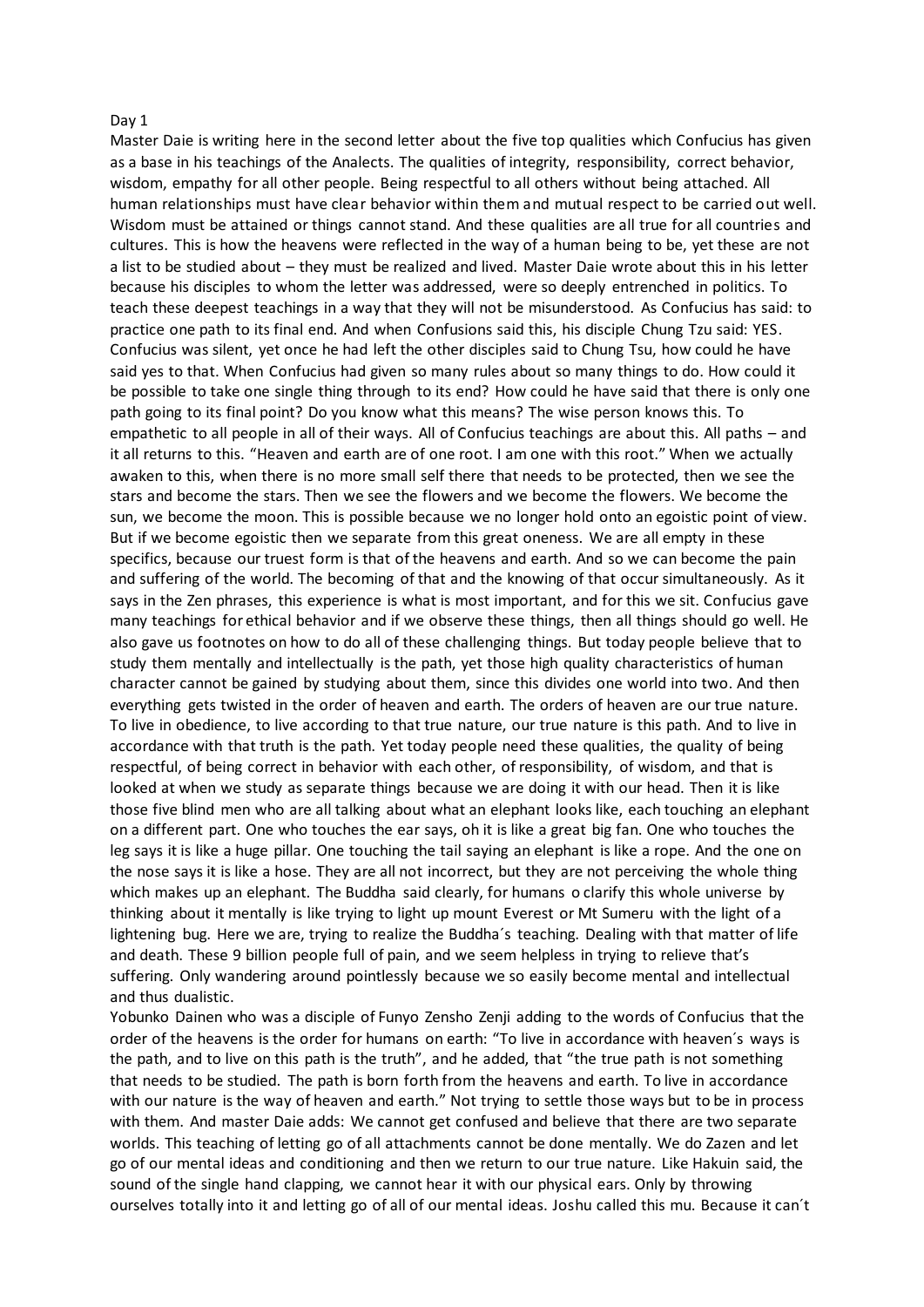#### Day 1

Master Daie is writing here in the second letter about the five top qualities which Confucius has given as a base in his teachings of the Analects. The qualities of integrity, responsibility, correct behavior, wisdom, empathy for all other people. Being respectful to all others without being attached. All human relationships must have clear behavior within them and mutual respect to be carried out well. Wisdom must be attained or things cannot stand. And these qualities are all true for all countries and cultures. This is how the heavens were reflected in the way of a human being to be, yet these are not a list to be studied about – they must be realized and lived. Master Daie wrote about this in his letter because his disciples to whom the letter was addressed, were so deeply entrenched in politics. To teach these deepest teachings in a way that they will not be misunderstood. As Confucius has said: to practice one path to its final end. And when Confusions said this, his disciple Chung Tzu said: YES. Confucius was silent, yet once he had left the other disciples said to Chung Tsu, how could he have said yes to that. When Confucius had given so many rules about so many things to do. How could it be possible to take one single thing through to its end? How could he have said that there is only one path going to its final point? Do you know what this means? The wise person knows this. To empathetic to all people in all of their ways. All of Confucius teachings are about this. All paths – and it all returns to this. "Heaven and earth are of one root. I am one with this root." When we actually awaken to this, when there is no more small self there that needs to be protected, then we see the stars and become the stars. Then we see the flowers and we become the flowers. We become the sun, we become the moon. This is possible because we no longer hold onto an egoistic point of view. But if we become egoistic then we separate from this great oneness. We are all empty in these specifics, because our truest form is that of the heavens and earth. And so we can become the pain and suffering of the world. The becoming of that and the knowing of that occur simultaneously. As it says in the Zen phrases, this experience is what is most important, and for this we sit. Confucius gave many teachings for ethical behavior and if we observe these things, then all things should go well. He also gave us footnotes on how to do all of these challenging things. But today people believe that to study them mentally and intellectually is the path, yet those high quality characteristics of human character cannot be gained by studying about them, since this divides one world into two. And then everything gets twisted in the order of heaven and earth. The orders of heaven are our true nature. To live in obedience, to live according to that true nature, our true nature is this path. And to live in accordance with that truth is the path. Yet today people need these qualities, the quality of being respectful, of being correct in behavior with each other, of responsibility, of wisdom, and that is looked at when we study as separate things because we are doing it with our head. Then it is like those five blind men who are all talking about what an elephant looks like, each touching an elephant on a different part. One who touches the ear says, oh it is like a great big fan. One who touches the leg says it is like a huge pillar. One touching the tail saying an elephant is like a rope. And the one on the nose says it is like a hose. They are all not incorrect, but they are not perceiving the whole thing which makes up an elephant. The Buddha said clearly, for humans o clarify this whole universe by thinking about it mentally is like trying to light up mount Everest or Mt Sumeru with the light of a lightening bug. Here we are, trying to realize the Buddha´s teaching. Dealing with that matter of life and death. These 9 billion people full of pain, and we seem helpless in trying to relieve that's suffering. Only wandering around pointlessly because we so easily become mental and intellectual and thus dualistic.

Yobunko Dainen who was a disciple of Funyo Zensho Zenji adding to the words of Confucius that the order of the heavens is the order for humans on earth: "To live in accordance with heaven´s ways is the path, and to live on this path is the truth", and he added, that "the true path is not something that needs to be studied. The path is born forth from the heavens and earth. To live in accordance with our nature is the way of heaven and earth." Not trying to settle those ways but to be in process with them. And master Daie adds: We cannot get confused and believe that there are two separate worlds. This teaching of letting go of all attachments cannot be done mentally. We do Zazen and let go of our mental ideas and conditioning and then we return to our true nature. Like Hakuin said, the sound of the single hand clapping, we cannot hear it with our physical ears. Only by throwing ourselves totally into it and letting go of all of our mental ideas. Joshu called this mu. Because it can´t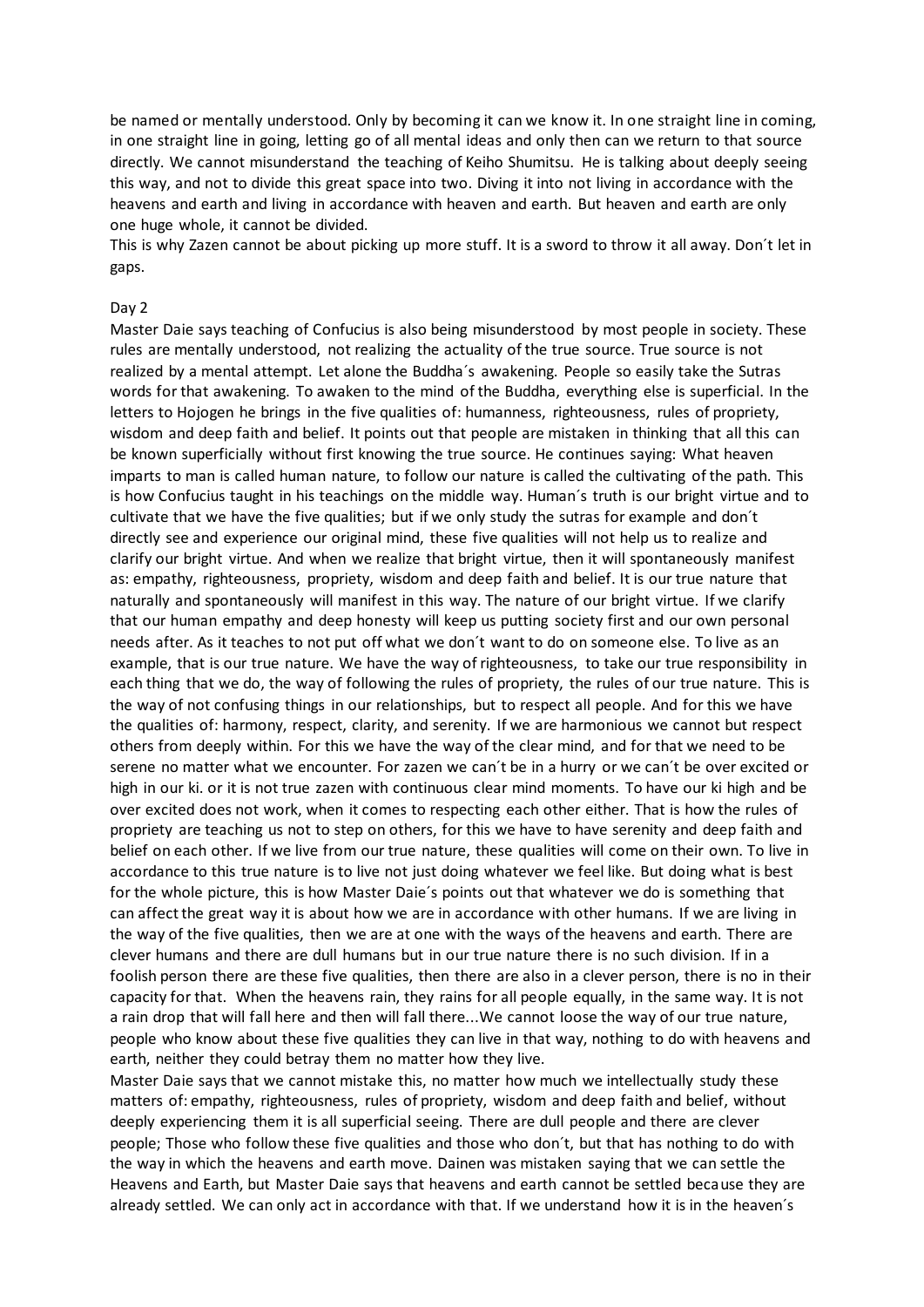be named or mentally understood. Only by becoming it can we know it. In one straight line in coming, in one straight line in going, letting go of all mental ideas and only then can we return to that source directly. We cannot misunderstand the teaching of Keiho Shumitsu. He is talking about deeply seeing this way, and not to divide this great space into two. Diving it into not living in accordance with the heavens and earth and living in accordance with heaven and earth. But heaven and earth are only one huge whole, it cannot be divided.

This is why Zazen cannot be about picking up more stuff. It is a sword to throw it all away. Don´t let in gaps.

# Day 2

Master Daie says teaching of Confucius is also being misunderstood by most people in society. These rules are mentally understood, not realizing the actuality of the true source. True source is not realized by a mental attempt. Let alone the Buddha´s awakening. People so easily take the Sutras words for that awakening. To awaken to the mind of the Buddha, everything else is superficial. In the letters to Hojogen he brings in the five qualities of: humanness, righteousness, rules of propriety, wisdom and deep faith and belief. It points out that people are mistaken in thinking that all this can be known superficially without first knowing the true source. He continues saying: What heaven imparts to man is called human nature, to follow our nature is called the cultivating of the path. This is how Confucius taught in his teachings on the middle way. Human´s truth is our bright virtue and to cultivate that we have the five qualities; but if we only study the sutras for example and don´t directly see and experience our original mind, these five qualities will not help us to realize and clarify our bright virtue. And when we realize that bright virtue, then it will spontaneously manifest as: empathy, righteousness, propriety, wisdom and deep faith and belief. It is our true nature that naturally and spontaneously will manifest in this way. The nature of our bright virtue. If we clarify that our human empathy and deep honesty will keep us putting society first and our own personal needs after. As it teaches to not put off what we don´t want to do on someone else. To live as an example, that is our true nature. We have the way of righteousness, to take our true responsibility in each thing that we do, the way of following the rules of propriety, the rules of our true nature. This is the way of not confusing things in our relationships, but to respect all people. And for this we have the qualities of: harmony, respect, clarity, and serenity. If we are harmonious we cannot but respect others from deeply within. For this we have the way of the clear mind, and for that we need to be serene no matter what we encounter. For zazen we can´t be in a hurry or we can´t be over excited or high in our ki. or it is not true zazen with continuous clear mind moments. To have our ki high and be over excited does not work, when it comes to respecting each other either. That is how the rules of propriety are teaching us not to step on others, for this we have to have serenity and deep faith and belief on each other. If we live from our true nature, these qualities will come on their own. To live in accordance to this true nature is to live not just doing whatever we feel like. But doing what is best for the whole picture, this is how Master Daie´s points out that whatever we do is something that can affect the great way it is about how we are in accordance with other humans. If we are living in the way of the five qualities, then we are at one with the ways of the heavens and earth. There are clever humans and there are dull humans but in our true nature there is no such division. If in a foolish person there are these five qualities, then there are also in a clever person, there is no in their capacity for that. When the heavens rain, they rains for all people equally, in the same way. It is not a rain drop that will fall here and then will fall there...We cannot loose the way of our true nature, people who know about these five qualities they can live in that way, nothing to do with heavens and earth, neither they could betray them no matter how they live.

Master Daie says that we cannot mistake this, no matter how much we intellectually study these matters of: empathy, righteousness, rules of propriety, wisdom and deep faith and belief, without deeply experiencing them it is all superficial seeing. There are dull people and there are clever people; Those who follow these five qualities and those who don´t, but that has nothing to do with the way in which the heavens and earth move. Dainen was mistaken saying that we can settle the Heavens and Earth, but Master Daie says that heavens and earth cannot be settled because they are already settled. We can only act in accordance with that. If we understand how it is in the heaven´s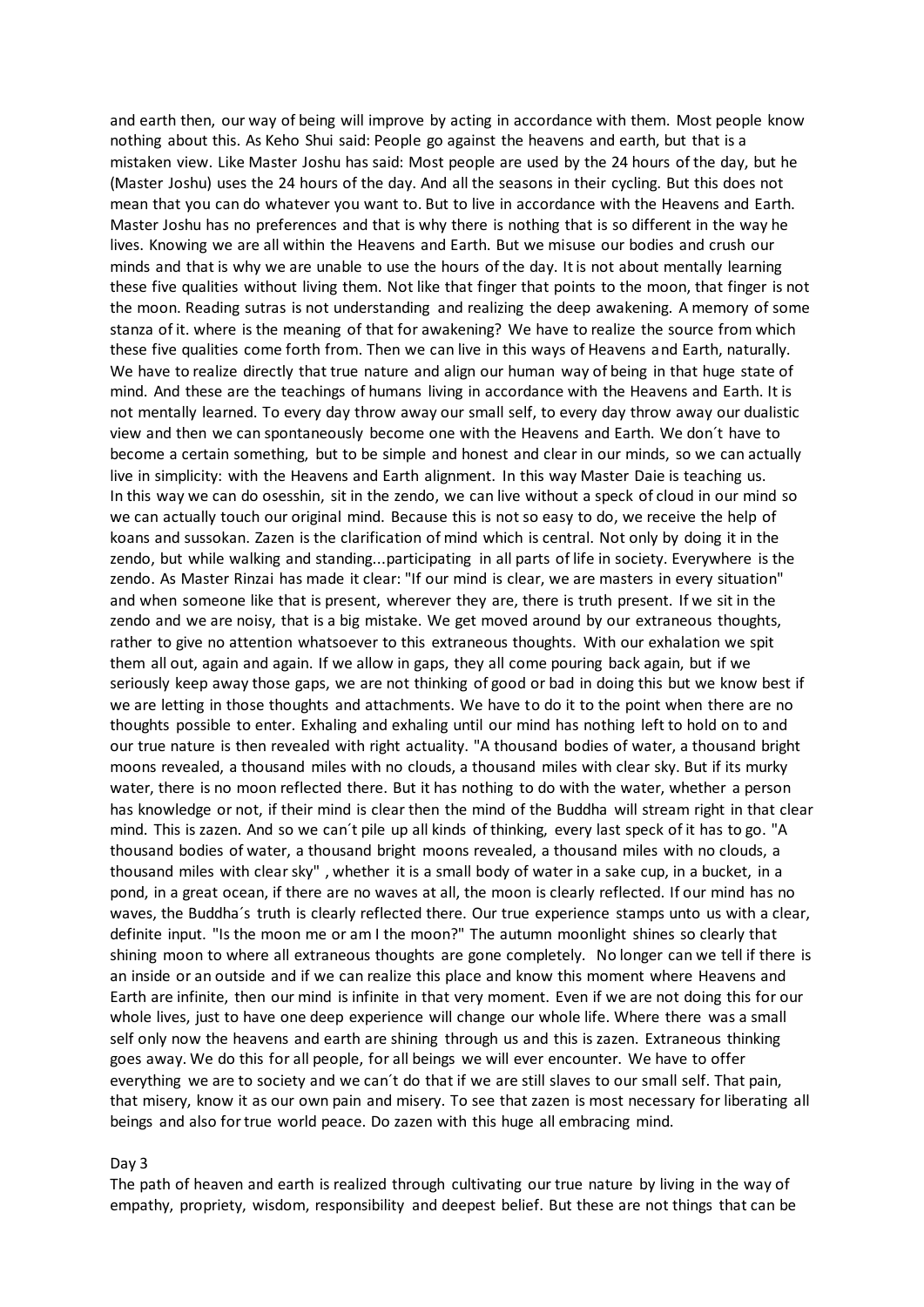and earth then, our way of being will improve by acting in accordance with them. Most people know nothing about this. As Keho Shui said: People go against the heavens and earth, but that is a mistaken view. Like Master Joshu has said: Most people are used by the 24 hours of the day, but he (Master Joshu) uses the 24 hours of the day. And all the seasons in their cycling. But this does not mean that you can do whatever you want to. But to live in accordance with the Heavens and Earth. Master Joshu has no preferences and that is why there is nothing that is so different in the way he lives. Knowing we are all within the Heavens and Earth. But we misuse our bodies and crush our minds and that is why we are unable to use the hours of the day. It is not about mentally learning these five qualities without living them. Not like that finger that points to the moon, that finger is not the moon. Reading sutras is not understanding and realizing the deep awakening. A memory of some stanza of it. where is the meaning of that for awakening? We have to realize the source from which these five qualities come forth from. Then we can live in this ways of Heavens and Earth, naturally. We have to realize directly that true nature and align our human way of being in that huge state of mind. And these are the teachings of humans living in accordance with the Heavens and Earth. It is not mentally learned. To every day throw away our small self, to every day throw away our dualistic view and then we can spontaneously become one with the Heavens and Earth. We don´t have to become a certain something, but to be simple and honest and clear in our minds, so we can actually live in simplicity: with the Heavens and Earth alignment. In this way Master Daie is teaching us. In this way we can do osesshin, sit in the zendo, we can live without a speck of cloud in our mind so we can actually touch our original mind. Because this is not so easy to do, we receive the help of koans and sussokan. Zazen is the clarification of mind which is central. Not only by doing it in the zendo, but while walking and standing...participating in all parts of life in society. Everywhere is the zendo. As Master Rinzai has made it clear: "If our mind is clear, we are masters in every situation" and when someone like that is present, wherever they are, there is truth present. If we sit in the zendo and we are noisy, that is a big mistake. We get moved around by our extraneous thoughts, rather to give no attention whatsoever to this extraneous thoughts. With our exhalation we spit them all out, again and again. If we allow in gaps, they all come pouring back again, but if we seriously keep away those gaps, we are not thinking of good or bad in doing this but we know best if we are letting in those thoughts and attachments. We have to do it to the point when there are no thoughts possible to enter. Exhaling and exhaling until our mind has nothing left to hold on to and our true nature is then revealed with right actuality. "A thousand bodies of water, a thousand bright moons revealed, a thousand miles with no clouds, a thousand miles with clear sky. But if its murky water, there is no moon reflected there. But it has nothing to do with the water, whether a person has knowledge or not, if their mind is clear then the mind of the Buddha will stream right in that clear mind. This is zazen. And so we can´t pile up all kinds of thinking, every last speck of it has to go. "A thousand bodies of water, a thousand bright moons revealed, a thousand miles with no clouds, a thousand miles with clear sky" , whether it is a small body of water in a sake cup, in a bucket, in a pond, in a great ocean, if there are no waves at all, the moon is clearly reflected. If our mind has no waves, the Buddha´s truth is clearly reflected there. Our true experience stamps unto us with a clear, definite input. "Is the moon me or am I the moon?" The autumn moonlight shines so clearly that shining moon to where all extraneous thoughts are gone completely. No longer can we tell if there is an inside or an outside and if we can realize this place and know this moment where Heavens and Earth are infinite, then our mind is infinite in that very moment. Even if we are not doing this for our whole lives, just to have one deep experience will change our whole life. Where there was a small self only now the heavens and earth are shining through us and this is zazen. Extraneous thinking goes away. We do this for all people, for all beings we will ever encounter. We have to offer everything we are to society and we can´t do that if we are still slaves to our small self. That pain, that misery, know it as our own pain and misery. To see that zazen is most necessary for liberating all beings and also for true world peace. Do zazen with this huge all embracing mind.

# Day 3

The path of heaven and earth is realized through cultivating our true nature by living in the way of empathy, propriety, wisdom, responsibility and deepest belief. But these are not things that can be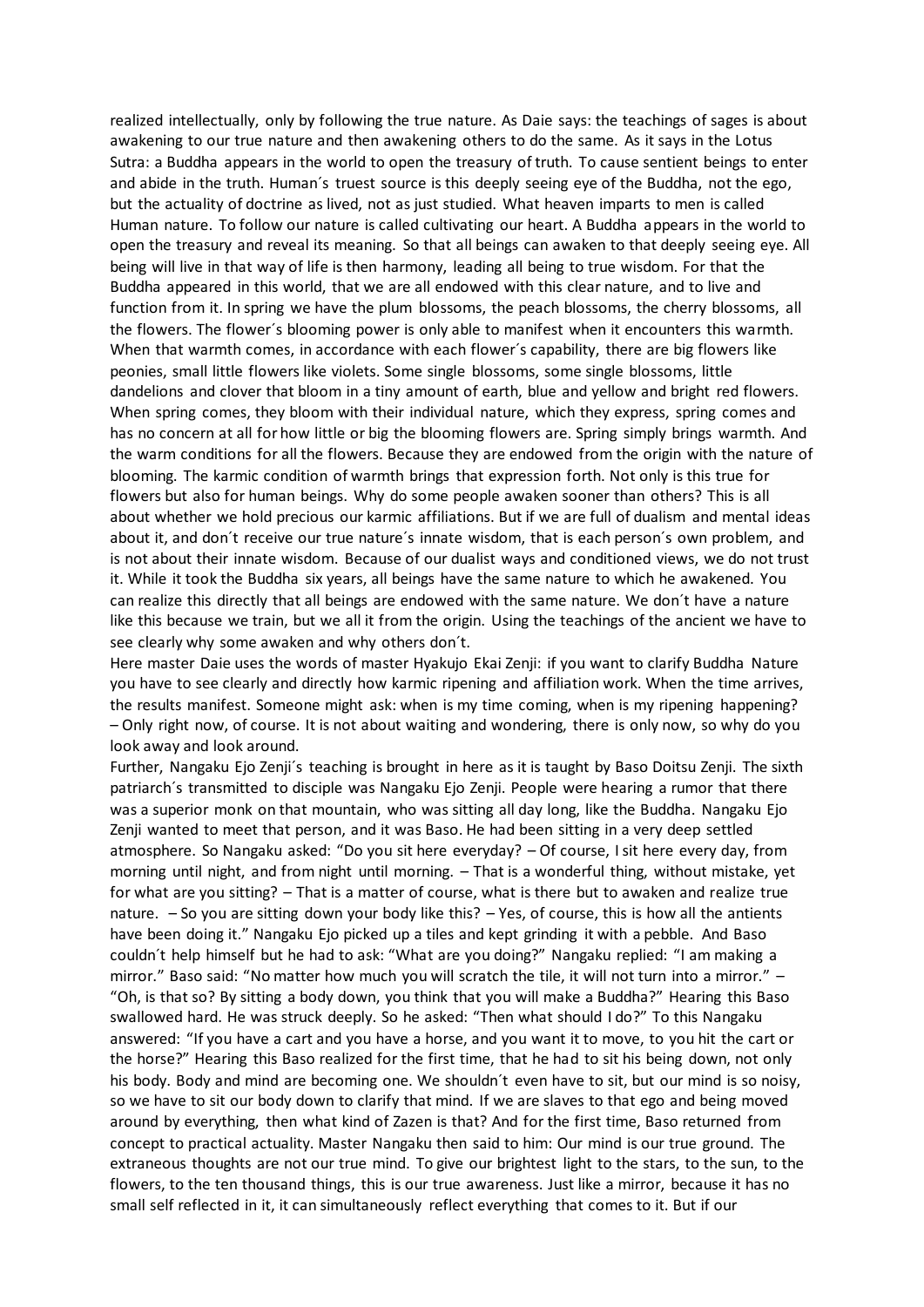realized intellectually, only by following the true nature. As Daie says: the teachings of sages is about awakening to our true nature and then awakening others to do the same. As it says in the Lotus Sutra: a Buddha appears in the world to open the treasury of truth. To cause sentient beings to enter and abide in the truth. Human´s truest source is this deeply seeing eye of the Buddha, not the ego, but the actuality of doctrine as lived, not as just studied. What heaven imparts to men is called Human nature. To follow our nature is called cultivating our heart. A Buddha appears in the world to open the treasury and reveal its meaning. So that all beings can awaken to that deeply seeing eye. All being will live in that way of life is then harmony, leading all being to true wisdom. For that the Buddha appeared in this world, that we are all endowed with this clear nature, and to live and function from it. In spring we have the plum blossoms, the peach blossoms, the cherry blossoms, all the flowers. The flower´s blooming power is only able to manifest when it encounters this warmth. When that warmth comes, in accordance with each flower´s capability, there are big flowers like peonies, small little flowers like violets. Some single blossoms, some single blossoms, little dandelions and clover that bloom in a tiny amount of earth, blue and yellow and bright red flowers. When spring comes, they bloom with their individual nature, which they express, spring comes and has no concern at all for how little or big the blooming flowers are. Spring simply brings warmth. And the warm conditions for all the flowers. Because they are endowed from the origin with the nature of blooming. The karmic condition of warmth brings that expression forth. Not only is this true for flowers but also for human beings. Why do some people awaken sooner than others? This is all about whether we hold precious our karmic affiliations. But if we are full of dualism and mental ideas about it, and don´t receive our true nature´s innate wisdom, that is each person´s own problem, and is not about their innate wisdom. Because of our dualist ways and conditioned views, we do not trust it. While it took the Buddha six years, all beings have the same nature to which he awakened. You can realize this directly that all beings are endowed with the same nature. We don´t have a nature like this because we train, but we all it from the origin. Using the teachings of the ancient we have to see clearly why some awaken and why others don´t.

Here master Daie uses the words of master Hyakujo Ekai Zenji: if you want to clarify Buddha Nature you have to see clearly and directly how karmic ripening and affiliation work. When the time arrives, the results manifest. Someone might ask: when is my time coming, when is my ripening happening? – Only right now, of course. It is not about waiting and wondering, there is only now, so why do you look away and look around.

Further, Nangaku Ejo Zenji´s teaching is brought in here as it is taught by Baso Doitsu Zenji. The sixth patriarch´s transmitted to disciple was Nangaku Ejo Zenji. People were hearing a rumor that there was a superior monk on that mountain, who was sitting all day long, like the Buddha. Nangaku Ejo Zenji wanted to meet that person, and it was Baso. He had been sitting in a very deep settled atmosphere. So Nangaku asked: "Do you sit here everyday? – Of course, I sit here every day, from morning until night, and from night until morning. – That is a wonderful thing, without mistake, yet for what are you sitting? – That is a matter of course, what is there but to awaken and realize true nature. – So you are sitting down your body like this? – Yes, of course, this is how all the antients have been doing it." Nangaku Ejo picked up a tiles and kept grinding it with a pebble. And Baso couldn´t help himself but he had to ask: "What are you doing?" Nangaku replied: "I am making a mirror." Baso said: "No matter how much you will scratch the tile, it will not turn into a mirror." -"Oh, is that so? By sitting a body down, you think that you will make a Buddha?" Hearing this Baso swallowed hard. He was struck deeply. So he asked: "Then what should I do?" To this Nangaku answered: "If you have a cart and you have a horse, and you want it to move, to you hit the cart or the horse?" Hearing this Baso realized for the first time, that he had to sit his being down, not only his body. Body and mind are becoming one. We shouldn´t even have to sit, but our mind is so noisy, so we have to sit our body down to clarify that mind. If we are slaves to that ego and being moved around by everything, then what kind of Zazen is that? And for the first time, Baso returned from concept to practical actuality. Master Nangaku then said to him: Our mind is our true ground. The extraneous thoughts are not our true mind. To give our brightest light to the stars, to the sun, to the flowers, to the ten thousand things, this is our true awareness. Just like a mirror, because it has no small self reflected in it, it can simultaneously reflect everything that comes to it. But if our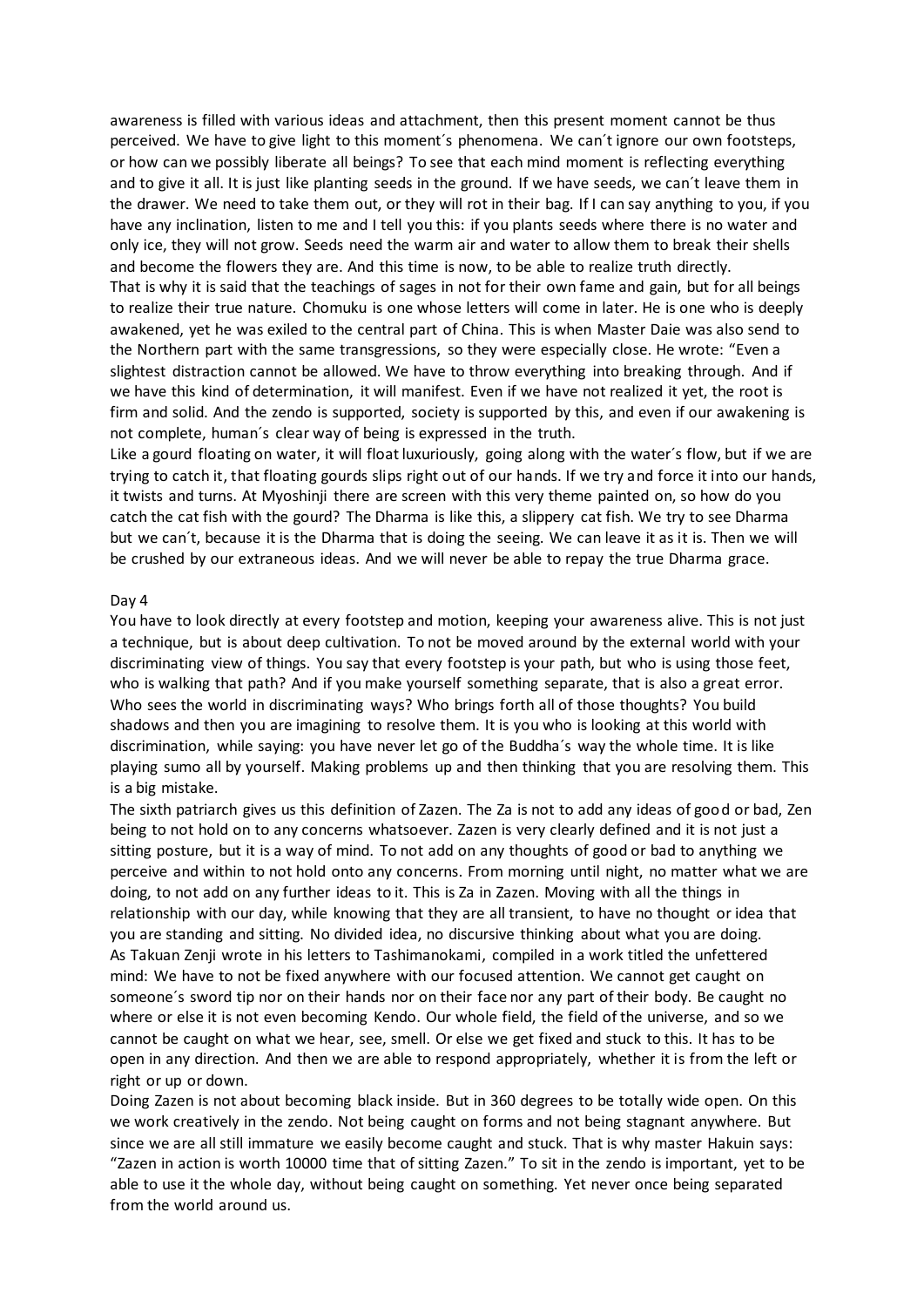awareness is filled with various ideas and attachment, then this present moment cannot be thus perceived. We have to give light to this moment´s phenomena. We can´t ignore our own footsteps, or how can we possibly liberate all beings? To see that each mind moment is reflecting everything and to give it all. It is just like planting seeds in the ground. If we have seeds, we can´t leave them in the drawer. We need to take them out, or they will rot in their bag. If I can say anything to you, if you have any inclination, listen to me and I tell you this: if you plants seeds where there is no water and only ice, they will not grow. Seeds need the warm air and water to allow them to break their shells and become the flowers they are. And this time is now, to be able to realize truth directly. That is why it is said that the teachings of sages in not for their own fame and gain, but for all beings to realize their true nature. Chomuku is one whose letters will come in later. He is one who is deeply awakened, yet he was exiled to the central part of China. This is when Master Daie was also send to the Northern part with the same transgressions, so they were especially close. He wrote: "Even a slightest distraction cannot be allowed. We have to throw everything into breaking through. And if we have this kind of determination, it will manifest. Even if we have not realized it yet, the root is firm and solid. And the zendo is supported, society is supported by this, and even if our awakening is not complete, human´s clear way of being is expressed in the truth.

Like a gourd floating on water, it will float luxuriously, going along with the water´s flow, but if we are trying to catch it, that floating gourds slips right out of our hands. If we try and force it into our hands, it twists and turns. At Myoshinji there are screen with this very theme painted on, so how do you catch the cat fish with the gourd? The Dharma is like this, a slippery cat fish. We try to see Dharma but we can´t, because it is the Dharma that is doing the seeing. We can leave it as it is. Then we will be crushed by our extraneous ideas. And we will never be able to repay the true Dharma grace.

# Day 4

You have to look directly at every footstep and motion, keeping your awareness alive. This is not just a technique, but is about deep cultivation. To not be moved around by the external world with your discriminating view of things. You say that every footstep is your path, but who is using those feet, who is walking that path? And if you make yourself something separate, that is also a great error. Who sees the world in discriminating ways? Who brings forth all of those thoughts? You build shadows and then you are imagining to resolve them. It is you who is looking at this world with discrimination, while saying: you have never let go of the Buddha´s way the whole time. It is like playing sumo all by yourself. Making problems up and then thinking that you are resolving them. This is a big mistake.

The sixth patriarch gives us this definition of Zazen. The Za is not to add any ideas of good or bad, Zen being to not hold on to any concerns whatsoever. Zazen is very clearly defined and it is not just a sitting posture, but it is a way of mind. To not add on any thoughts of good or bad to anything we perceive and within to not hold onto any concerns. From morning until night, no matter what we are doing, to not add on any further ideas to it. This is Za in Zazen. Moving with all the things in relationship with our day, while knowing that they are all transient, to have no thought or idea that you are standing and sitting. No divided idea, no discursive thinking about what you are doing. As Takuan Zenji wrote in his letters to Tashimanokami, compiled in a work titled the unfettered mind: We have to not be fixed anywhere with our focused attention. We cannot get caught on someone´s sword tip nor on their hands nor on their face nor any part of their body. Be caught no where or else it is not even becoming Kendo. Our whole field, the field of the universe, and so we cannot be caught on what we hear, see, smell. Or else we get fixed and stuck to this. It has to be open in any direction. And then we are able to respond appropriately, whether it is from the left or right or up or down.

Doing Zazen is not about becoming black inside. But in 360 degrees to be totally wide open. On this we work creatively in the zendo. Not being caught on forms and not being stagnant anywhere. But since we are all still immature we easily become caught and stuck. That is why master Hakuin says: "Zazen in action is worth 10000 time that of sitting Zazen." To sit in the zendo is important, yet to be able to use it the whole day, without being caught on something. Yet never once being separated from the world around us.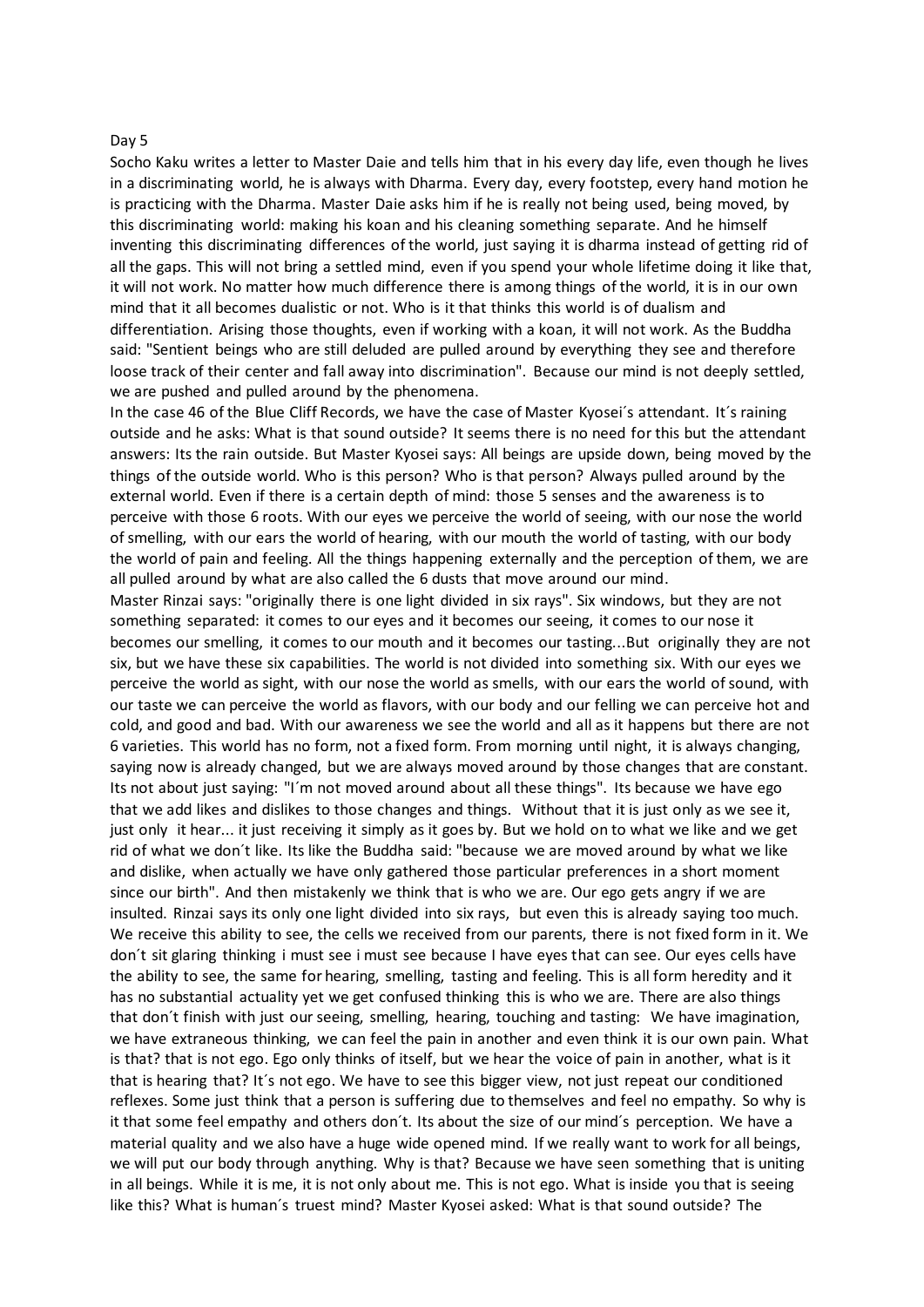### Day 5

Socho Kaku writes a letter to Master Daie and tells him that in his every day life, even though he lives in a discriminating world, he is always with Dharma. Every day, every footstep, every hand motion he is practicing with the Dharma. Master Daie asks him if he is really not being used, being moved, by this discriminating world: making his koan and his cleaning something separate. And he himself inventing this discriminating differences of the world, just saying it is dharma instead of getting rid of all the gaps. This will not bring a settled mind, even if you spend your whole lifetime doing it like that, it will not work. No matter how much difference there is among things of the world, it is in our own mind that it all becomes dualistic or not. Who is it that thinks this world is of dualism and differentiation. Arising those thoughts, even if working with a koan, it will not work. As the Buddha said: "Sentient beings who are still deluded are pulled around by everything they see and therefore loose track of their center and fall away into discrimination". Because our mind is not deeply settled, we are pushed and pulled around by the phenomena.

In the case 46 of the Blue Cliff Records, we have the case of Master Kyosei's attendant. It's raining outside and he asks: What is that sound outside? It seems there is no need for this but the attendant answers: Its the rain outside. But Master Kyosei says: All beings are upside down, being moved by the things of the outside world. Who is this person? Who is that person? Always pulled around by the external world. Even if there is a certain depth of mind: those 5 senses and the awareness is to perceive with those 6 roots. With our eyes we perceive the world of seeing, with our nose the world of smelling, with our ears the world of hearing, with our mouth the world of tasting, with our body the world of pain and feeling. All the things happening externally and the perception of them, we are all pulled around by what are also called the 6 dusts that move around our mind.

Master Rinzai says: "originally there is one light divided in six rays". Six windows, but they are not something separated: it comes to our eyes and it becomes our seeing, it comes to our nose it becomes our smelling, it comes to our mouth and it becomes our tasting...But originally they are not six, but we have these six capabilities. The world is not divided into something six. With our eyes we perceive the world as sight, with our nose the world as smells, with our ears the world of sound, with our taste we can perceive the world as flavors, with our body and our felling we can perceive hot and cold, and good and bad. With our awareness we see the world and all as it happens but there are not 6 varieties. This world has no form, not a fixed form. From morning until night, it is always changing, saying now is already changed, but we are always moved around by those changes that are constant. Its not about just saying: "I´m not moved around about all these things". Its because we have ego that we add likes and dislikes to those changes and things. Without that it is just only as we see it, just only it hear... it just receiving it simply as it goes by. But we hold on to what we like and we get rid of what we don´t like. Its like the Buddha said: "because we are moved around by what we like and dislike, when actually we have only gathered those particular preferences in a short moment since our birth". And then mistakenly we think that is who we are. Our ego gets angry if we are insulted. Rinzai says its only one light divided into six rays, but even this is already saying too much. We receive this ability to see, the cells we received from our parents, there is not fixed form in it. We don´t sit glaring thinking i must see i must see because I have eyes that can see. Our eyes cells have the ability to see, the same for hearing, smelling, tasting and feeling. This is all form heredity and it has no substantial actuality yet we get confused thinking this is who we are. There are also things that don´t finish with just our seeing, smelling, hearing, touching and tasting: We have imagination, we have extraneous thinking, we can feel the pain in another and even think it is our own pain. What is that? that is not ego. Ego only thinks of itself, but we hear the voice of pain in another, what is it that is hearing that? It´s not ego. We have to see this bigger view, not just repeat our conditioned reflexes. Some just think that a person is suffering due to themselves and feel no empathy. So why is it that some feel empathy and others don´t. Its about the size of our mind´s perception. We have a material quality and we also have a huge wide opened mind. If we really want to work for all beings, we will put our body through anything. Why is that? Because we have seen something that is uniting in all beings. While it is me, it is not only about me. This is not ego. What is inside you that is seeing like this? What is human´s truest mind? Master Kyosei asked: What is that sound outside? The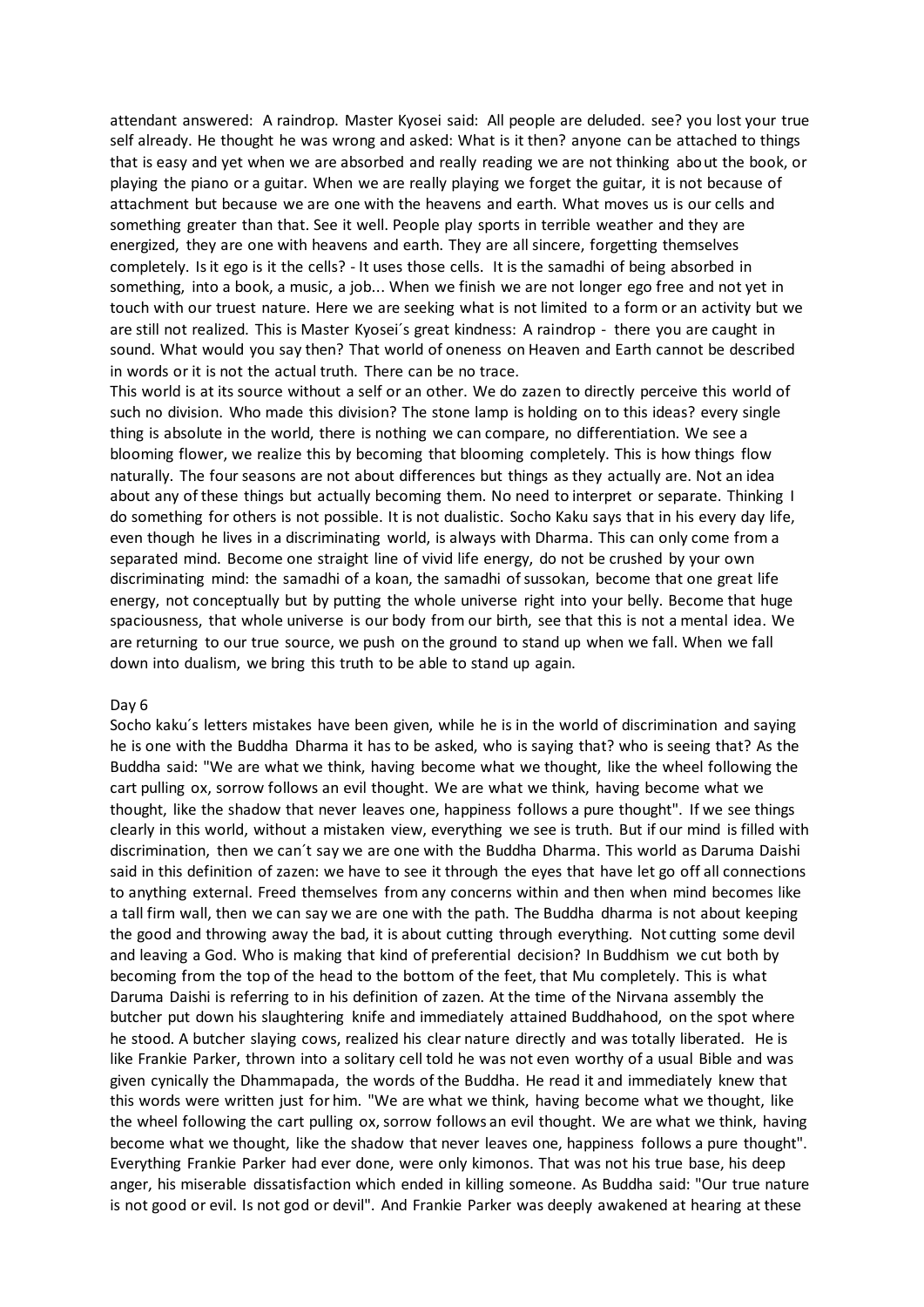attendant answered: A raindrop. Master Kyosei said: All people are deluded. see? you lost your true self already. He thought he was wrong and asked: What is it then? anyone can be attached to things that is easy and yet when we are absorbed and really reading we are not thinking about the book, or playing the piano or a guitar. When we are really playing we forget the guitar, it is not because of attachment but because we are one with the heavens and earth. What moves us is our cells and something greater than that. See it well. People play sports in terrible weather and they are energized, they are one with heavens and earth. They are all sincere, forgetting themselves completely. Is it ego is it the cells? - It uses those cells. It is the samadhi of being absorbed in something, into a book, a music, a job... When we finish we are not longer ego free and not yet in touch with our truest nature. Here we are seeking what is not limited to a form or an activity but we are still not realized. This is Master Kyosei´s great kindness: A raindrop - there you are caught in sound. What would you say then? That world of oneness on Heaven and Earth cannot be described in words or it is not the actual truth. There can be no trace.

This world is at its source without a self or an other. We do zazen to directly perceive this world of such no division. Who made this division? The stone lamp is holding on to this ideas? every single thing is absolute in the world, there is nothing we can compare, no differentiation. We see a blooming flower, we realize this by becoming that blooming completely. This is how things flow naturally. The four seasons are not about differences but things as they actually are. Not an idea about any of these things but actually becoming them. No need to interpret or separate. Thinking I do something for others is not possible. It is not dualistic. Socho Kaku says that in his every day life, even though he lives in a discriminating world, is always with Dharma. This can only come from a separated mind. Become one straight line of vivid life energy, do not be crushed by your own discriminating mind: the samadhi of a koan, the samadhi of sussokan, become that one great life energy, not conceptually but by putting the whole universe right into your belly. Become that huge spaciousness, that whole universe is our body from our birth, see that this is not a mental idea. We are returning to our true source, we push on the ground to stand up when we fall. When we fall down into dualism, we bring this truth to be able to stand up again.

#### Day 6

Socho kaku´s letters mistakes have been given, while he is in the world of discrimination and saying he is one with the Buddha Dharma it has to be asked, who is saying that? who is seeing that? As the Buddha said: "We are what we think, having become what we thought, like the wheel following the cart pulling ox, sorrow follows an evil thought. We are what we think, having become what we thought, like the shadow that never leaves one, happiness follows a pure thought". If we see things clearly in this world, without a mistaken view, everything we see is truth. But if our mind is filled with discrimination, then we can´t say we are one with the Buddha Dharma. This world as Daruma Daishi said in this definition of zazen: we have to see it through the eyes that have let go off all connections to anything external. Freed themselves from any concerns within and then when mind becomes like a tall firm wall, then we can say we are one with the path. The Buddha dharma is not about keeping the good and throwing away the bad, it is about cutting through everything. Not cutting some devil and leaving a God. Who is making that kind of preferential decision? In Buddhism we cut both by becoming from the top of the head to the bottom of the feet, that Mu completely. This is what Daruma Daishi is referring to in his definition of zazen. At the time of the Nirvana assembly the butcher put down his slaughtering knife and immediately attained Buddhahood, on the spot where he stood. A butcher slaying cows, realized his clear nature directly and was totally liberated. He is like Frankie Parker, thrown into a solitary cell told he was not even worthy of a usual Bible and was given cynically the Dhammapada, the words of the Buddha. He read it and immediately knew that this words were written just for him. "We are what we think, having become what we thought, like the wheel following the cart pulling ox, sorrow follows an evil thought. We are what we think, having become what we thought, like the shadow that never leaves one, happiness follows a pure thought". Everything Frankie Parker had ever done, were only kimonos. That was not his true base, his deep anger, his miserable dissatisfaction which ended in killing someone. As Buddha said: "Our true nature is not good or evil. Is not god or devil". And Frankie Parker was deeply awakened at hearing at these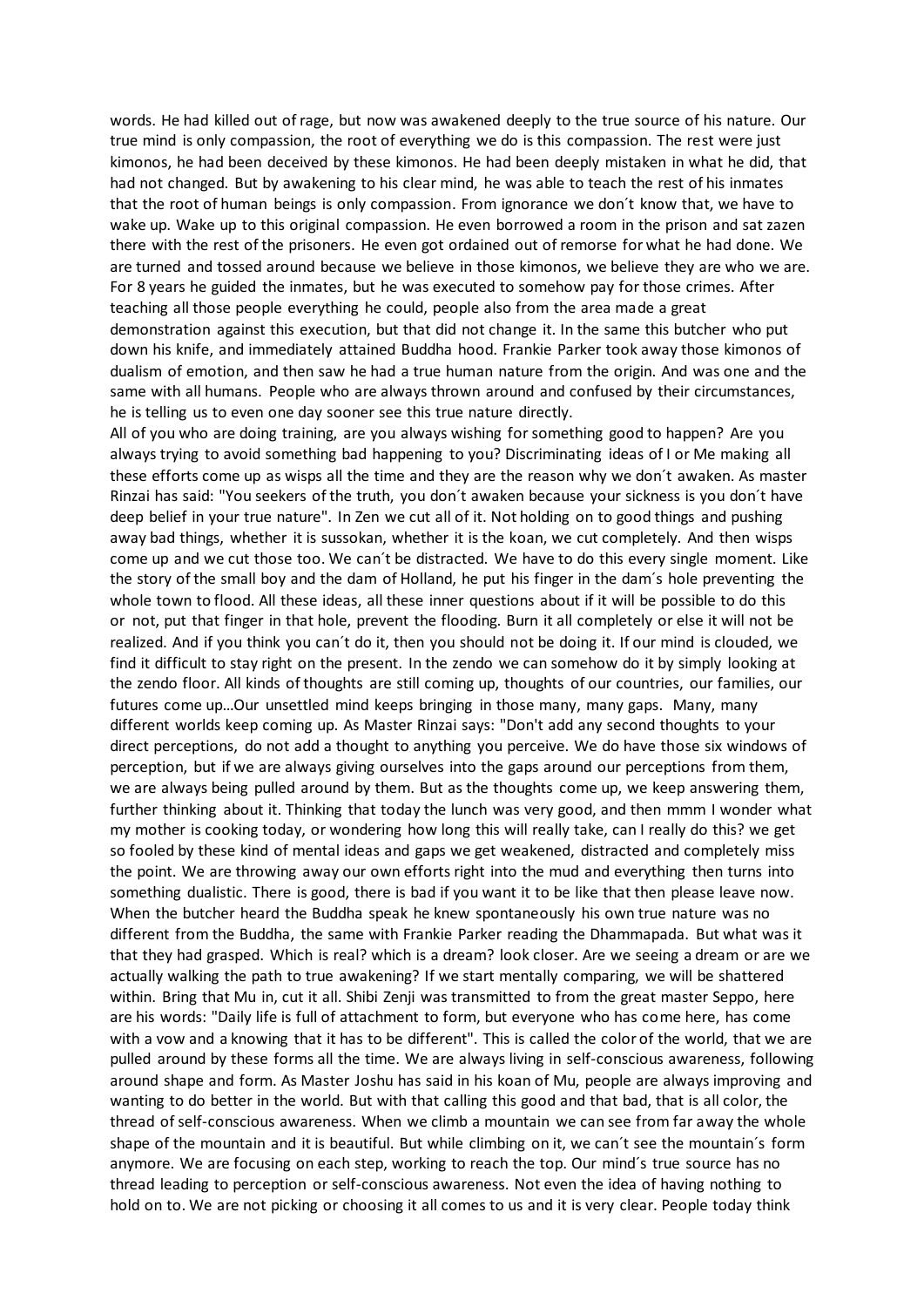words. He had killed out of rage, but now was awakened deeply to the true source of his nature. Our true mind is only compassion, the root of everything we do is this compassion. The rest were just kimonos, he had been deceived by these kimonos. He had been deeply mistaken in what he did, that had not changed. But by awakening to his clear mind, he was able to teach the rest of his inmates that the root of human beings is only compassion. From ignorance we don´t know that, we have to wake up. Wake up to this original compassion. He even borrowed a room in the prison and sat zazen there with the rest of the prisoners. He even got ordained out of remorse for what he had done. We are turned and tossed around because we believe in those kimonos, we believe they are who we are. For 8 years he guided the inmates, but he was executed to somehow pay for those crimes. After teaching all those people everything he could, people also from the area made a great demonstration against this execution, but that did not change it. In the same this butcher who put down his knife, and immediately attained Buddha hood. Frankie Parker took away those kimonos of dualism of emotion, and then saw he had a true human nature from the origin. And was one and the same with all humans. People who are always thrown around and confused by their circumstances, he is telling us to even one day sooner see this true nature directly.

All of you who are doing training, are you always wishing for something good to happen? Are you always trying to avoid something bad happening to you? Discriminating ideas of I or Me making all these efforts come up as wisps all the time and they are the reason why we don´t awaken. As master Rinzai has said: "You seekers of the truth, you don´t awaken because your sickness is you don´t have deep belief in your true nature". In Zen we cut all of it. Not holding on to good things and pushing away bad things, whether it is sussokan, whether it is the koan, we cut completely. And then wisps come up and we cut those too. We can´t be distracted. We have to do this every single moment. Like the story of the small boy and the dam of Holland, he put his finger in the dam´s hole preventing the whole town to flood. All these ideas, all these inner questions about if it will be possible to do this or not, put that finger in that hole, prevent the flooding. Burn it all completely or else it will not be realized. And if you think you can´t do it, then you should not be doing it. If our mind is clouded, we find it difficult to stay right on the present. In the zendo we can somehow do it by simply looking at the zendo floor. All kinds of thoughts are still coming up, thoughts of our countries, our families, our futures come up…Our unsettled mind keeps bringing in those many, many gaps. Many, many different worlds keep coming up. As Master Rinzai says: "Don't add any second thoughts to your direct perceptions, do not add a thought to anything you perceive. We do have those six windows of perception, but if we are always giving ourselves into the gaps around our perceptions from them, we are always being pulled around by them. But as the thoughts come up, we keep answering them, further thinking about it. Thinking that today the lunch was very good, and then mmm I wonder what my mother is cooking today, or wondering how long this will really take, can I really do this? we get so fooled by these kind of mental ideas and gaps we get weakened, distracted and completely miss the point. We are throwing away our own efforts right into the mud and everything then turns into something dualistic. There is good, there is bad if you want it to be like that then please leave now. When the butcher heard the Buddha speak he knew spontaneously his own true nature was no different from the Buddha, the same with Frankie Parker reading the Dhammapada. But what was it that they had grasped. Which is real? which is a dream? look closer. Are we seeing a dream or are we actually walking the path to true awakening? If we start mentally comparing, we will be shattered within. Bring that Mu in, cut it all. Shibi Zenji was transmitted to from the great master Seppo, here are his words: "Daily life is full of attachment to form, but everyone who has come here, has come with a vow and a knowing that it has to be different". This is called the color of the world, that we are pulled around by these forms all the time. We are always living in self-conscious awareness, following around shape and form. As Master Joshu has said in his koan of Mu, people are always improving and wanting to do better in the world. But with that calling this good and that bad, that is all color, the thread of self-conscious awareness. When we climb a mountain we can see from far away the whole shape of the mountain and it is beautiful. But while climbing on it, we can´t see the mountain´s form anymore. We are focusing on each step, working to reach the top. Our mind´s true source has no thread leading to perception or self-conscious awareness. Not even the idea of having nothing to hold on to. We are not picking or choosing it all comes to us and it is very clear. People today think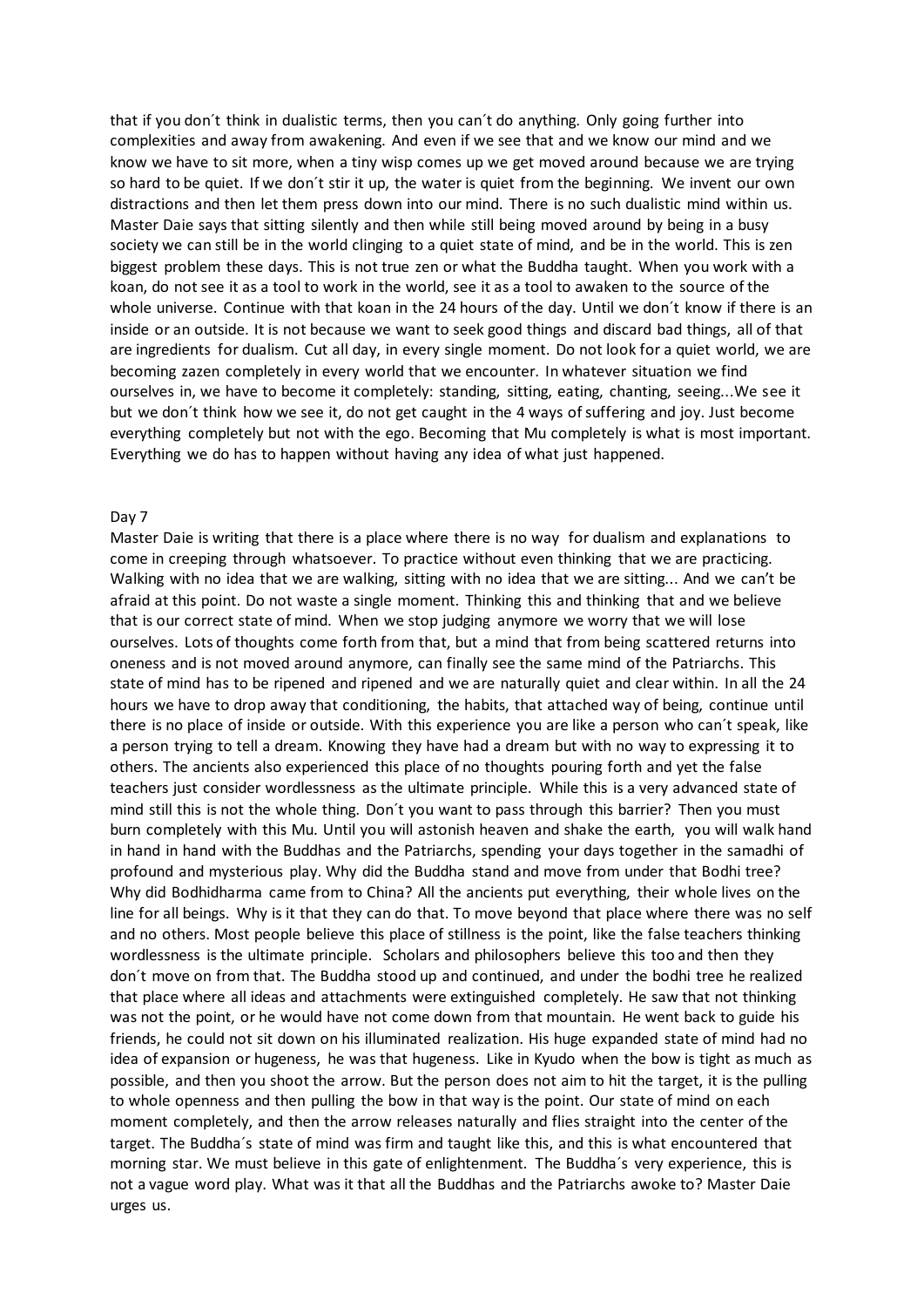that if you don´t think in dualistic terms, then you can´t do anything. Only going further into complexities and away from awakening. And even if we see that and we know our mind and we know we have to sit more, when a tiny wisp comes up we get moved around because we are trying so hard to be quiet. If we don´t stir it up, the water is quiet from the beginning. We invent our own distractions and then let them press down into our mind. There is no such dualistic mind within us. Master Daie says that sitting silently and then while still being moved around by being in a busy society we can still be in the world clinging to a quiet state of mind, and be in the world. This is zen biggest problem these days. This is not true zen or what the Buddha taught. When you work with a koan, do not see it as a tool to work in the world, see it as a tool to awaken to the source of the whole universe. Continue with that koan in the 24 hours of the day. Until we don´t know if there is an inside or an outside. It is not because we want to seek good things and discard bad things, all of that are ingredients for dualism. Cut all day, in every single moment. Do not look for a quiet world, we are becoming zazen completely in every world that we encounter. In whatever situation we find ourselves in, we have to become it completely: standing, sitting, eating, chanting, seeing...We see it but we don´t think how we see it, do not get caught in the 4 ways of suffering and joy. Just become everything completely but not with the ego. Becoming that Mu completely is what is most important. Everything we do has to happen without having any idea of what just happened.

#### Day 7

Master Daie is writing that there is a place where there is no way for dualism and explanations to come in creeping through whatsoever. To practice without even thinking that we are practicing. Walking with no idea that we are walking, sitting with no idea that we are sitting... And we can't be afraid at this point. Do not waste a single moment. Thinking this and thinking that and we believe that is our correct state of mind. When we stop judging anymore we worry that we will lose ourselves. Lots of thoughts come forth from that, but a mind that from being scattered returns into oneness and is not moved around anymore, can finally see the same mind of the Patriarchs. This state of mind has to be ripened and ripened and we are naturally quiet and clear within. In all the 24 hours we have to drop away that conditioning, the habits, that attached way of being, continue until there is no place of inside or outside. With this experience you are like a person who can´t speak, like a person trying to tell a dream. Knowing they have had a dream but with no way to expressing it to others. The ancients also experienced this place of no thoughts pouring forth and yet the false teachers just consider wordlessness as the ultimate principle. While this is a very advanced state of mind still this is not the whole thing. Don´t you want to pass through this barrier? Then you must burn completely with this Mu. Until you will astonish heaven and shake the earth, you will walk hand in hand in hand with the Buddhas and the Patriarchs, spending your days together in the samadhi of profound and mysterious play. Why did the Buddha stand and move from under that Bodhi tree? Why did Bodhidharma came from to China? All the ancients put everything, their whole lives on the line for all beings. Why is it that they can do that. To move beyond that place where there was no self and no others. Most people believe this place of stillness is the point, like the false teachers thinking wordlessness is the ultimate principle. Scholars and philosophers believe this too and then they don´t move on from that. The Buddha stood up and continued, and under the bodhi tree he realized that place where all ideas and attachments were extinguished completely. He saw that not thinking was not the point, or he would have not come down from that mountain. He went back to guide his friends, he could not sit down on his illuminated realization. His huge expanded state of mind had no idea of expansion or hugeness, he was that hugeness. Like in Kyudo when the bow is tight as much as possible, and then you shoot the arrow. But the person does not aim to hit the target, it is the pulling to whole openness and then pulling the bow in that way is the point. Our state of mind on each moment completely, and then the arrow releases naturally and flies straight into the center of the target. The Buddha´s state of mind was firm and taught like this, and this is what encountered that morning star. We must believe in this gate of enlightenment. The Buddha´s very experience, this is not a vague word play. What was it that all the Buddhas and the Patriarchs awoke to? Master Daie urges us.